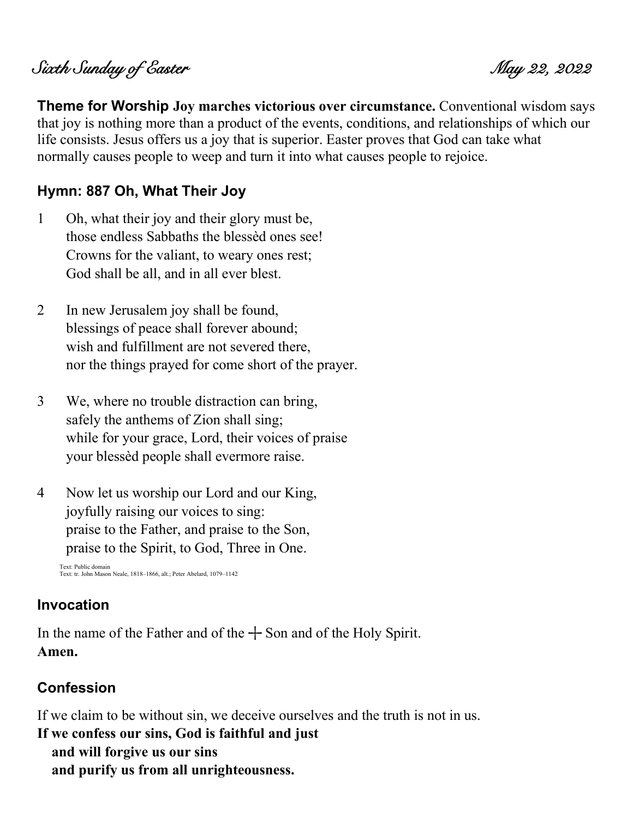# Sixth Sunday of Easter May 22, 2022

**Theme for Worship Joy marches victorious over circumstance.** Conventional wisdom says that joy is nothing more than a product of the events, conditions, and relationships of which our life consists. Jesus offers us a joy that is superior. Easter proves that God can take what normally causes people to weep and turn it into what causes people to rejoice.

### **Hymn: 887 Oh, What Their Joy**

- 1 Oh, what their joy and their glory must be, those endless Sabbaths the blessèd ones see! Crowns for the valiant, to weary ones rest; God shall be all, and in all ever blest.
- 2 In new Jerusalem joy shall be found, blessings of peace shall forever abound; wish and fulfillment are not severed there, nor the things prayed for come short of the prayer.
- 3 We, where no trouble distraction can bring, safely the anthems of Zion shall sing; while for your grace, Lord, their voices of praise your blessèd people shall evermore raise.
- 4 Now let us worship our Lord and our King, joyfully raising our voices to sing: praise to the Father, and praise to the Son, praise to the Spirit, to God, Three in One.

Text: Public domain Text: tr. John Mason Neale, 1818–1866, alt.; Peter Abelard, 1079–1142

#### **Invocation**

In the name of the Father and of the  $+$  Son and of the Holy Spirit. **Amen.**

#### **Confession**

If we claim to be without sin, we deceive ourselves and the truth is not in us.

**If we confess our sins, God is faithful and just and will forgive us our sins and purify us from all unrighteousness.**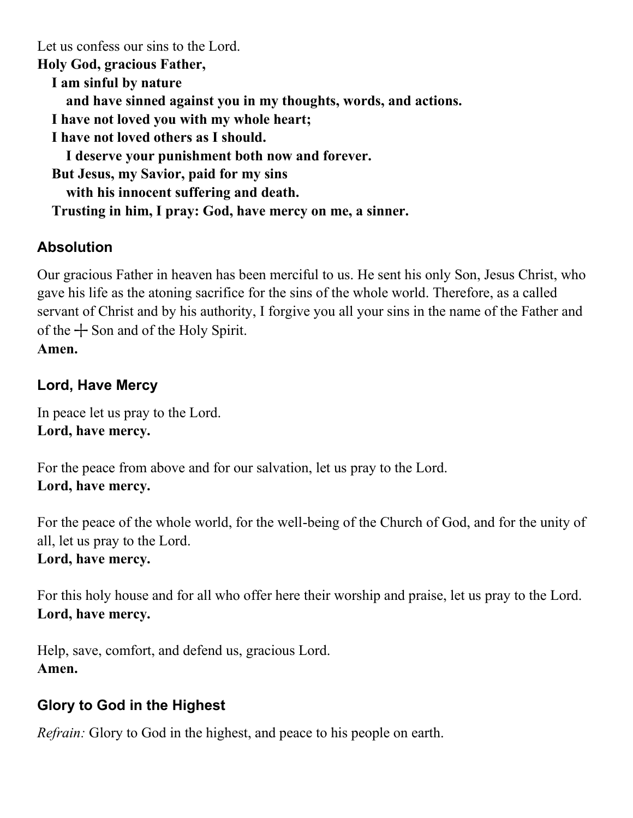Let us confess our sins to the Lord. **Holy God, gracious Father, I am sinful by nature and have sinned against you in my thoughts, words, and actions. I have not loved you with my whole heart; I have not loved others as I should. I deserve your punishment both now and forever. But Jesus, my Savior, paid for my sins with his innocent suffering and death. Trusting in him, I pray: God, have mercy on me, a sinner.**

# **Absolution**

Our gracious Father in heaven has been merciful to us. He sent his only Son, Jesus Christ, who gave his life as the atoning sacrifice for the sins of the whole world. Therefore, as a called servant of Christ and by his authority, I forgive you all your sins in the name of the Father and of the  $+$  Son and of the Holy Spirit. **Amen.**

### **Lord, Have Mercy**

In peace let us pray to the Lord. **Lord, have mercy.**

For the peace from above and for our salvation, let us pray to the Lord. **Lord, have mercy.**

For the peace of the whole world, for the well-being of the Church of God, and for the unity of all, let us pray to the Lord. **Lord, have mercy.**

For this holy house and for all who offer here their worship and praise, let us pray to the Lord. **Lord, have mercy.**

Help, save, comfort, and defend us, gracious Lord. **Amen.**

### **Glory to God in the Highest**

*Refrain:* Glory to God in the highest, and peace to his people on earth.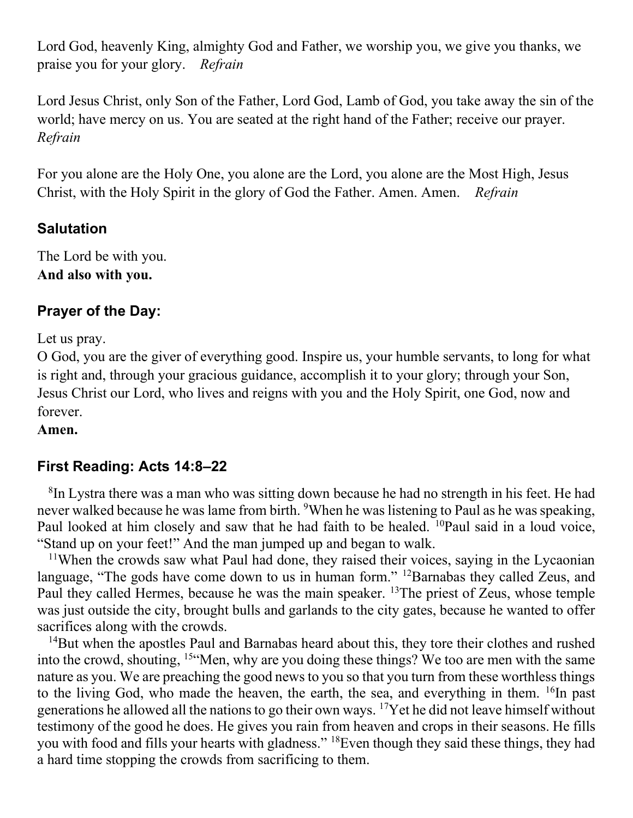Lord God, heavenly King, almighty God and Father, we worship you, we give you thanks, we praise you for your glory. *Refrain*

Lord Jesus Christ, only Son of the Father, Lord God, Lamb of God, you take away the sin of the world; have mercy on us. You are seated at the right hand of the Father; receive our prayer. *Refrain*

For you alone are the Holy One, you alone are the Lord, you alone are the Most High, Jesus Christ, with the Holy Spirit in the glory of God the Father. Amen. Amen. *Refrain*

### **Salutation**

The Lord be with you. **And also with you.**

### **Prayer of the Day:**

Let us pray.

O God, you are the giver of everything good. Inspire us, your humble servants, to long for what is right and, through your gracious guidance, accomplish it to your glory; through your Son, Jesus Christ our Lord, who lives and reigns with you and the Holy Spirit, one God, now and forever.

**Amen.**

### **First Reading: Acts 14:8–22**

<sup>8</sup>In Lystra there was a man who was sitting down because he had no strength in his feet. He had never walked because he was lame from birth. <sup>9</sup>When he was listening to Paul as he was speaking, Paul looked at him closely and saw that he had faith to be healed. <sup>10</sup>Paul said in a loud voice, "Stand up on your feet!" And the man jumped up and began to walk.

<sup>11</sup>When the crowds saw what Paul had done, they raised their voices, saying in the Lycaonian language, "The gods have come down to us in human form." <sup>12</sup>Barnabas they called Zeus, and Paul they called Hermes, because he was the main speaker. <sup>13</sup>The priest of Zeus, whose temple was just outside the city, brought bulls and garlands to the city gates, because he wanted to offer sacrifices along with the crowds.

<sup>14</sup>But when the apostles Paul and Barnabas heard about this, they tore their clothes and rushed into the crowd, shouting, <sup>15</sup>"Men, why are you doing these things? We too are men with the same nature as you. We are preaching the good news to you so that you turn from these worthless things to the living God, who made the heaven, the earth, the sea, and everything in them.  $^{16}$ In past generations he allowed all the nations to go their own ways. <sup>17</sup>Yet he did not leave himself without testimony of the good he does. He gives you rain from heaven and crops in their seasons. He fills you with food and fills your hearts with gladness." <sup>18</sup>Even though they said these things, they had a hard time stopping the crowds from sacrificing to them.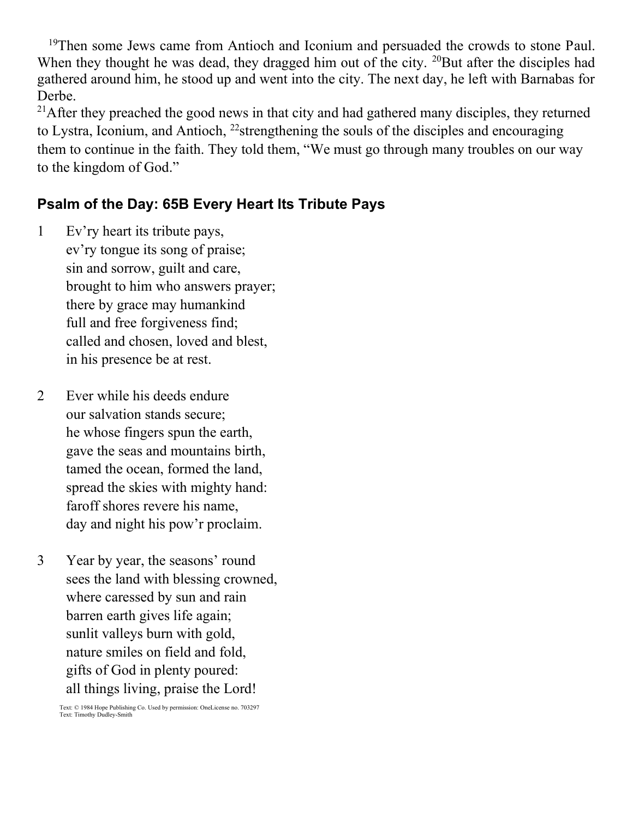<sup>19</sup>Then some Jews came from Antioch and Iconium and persuaded the crowds to stone Paul. When they thought he was dead, they dragged him out of the city. <sup>20</sup>But after the disciples had gathered around him, he stood up and went into the city. The next day, he left with Barnabas for Derbe.

 $21$ After they preached the good news in that city and had gathered many disciples, they returned to Lystra, Iconium, and Antioch, <sup>22</sup>strengthening the souls of the disciples and encouraging them to continue in the faith. They told them, "We must go through many troubles on our way to the kingdom of God."

### **Psalm of the Day: 65B Every Heart Its Tribute Pays**

- 1 Ev'ry heart its tribute pays, ev'ry tongue its song of praise; sin and sorrow, guilt and care, brought to him who answers prayer; there by grace may humankind full and free forgiveness find; called and chosen, loved and blest, in his presence be at rest.
- 2 Ever while his deeds endure our salvation stands secure; he whose fingers spun the earth, gave the seas and mountains birth, tamed the ocean, formed the land, spread the skies with mighty hand: faroff shores revere his name, day and night his pow'r proclaim.
- 3 Year by year, the seasons' round sees the land with blessing crowned, where caressed by sun and rain barren earth gives life again; sunlit valleys burn with gold, nature smiles on field and fold, gifts of God in plenty poured: all things living, praise the Lord!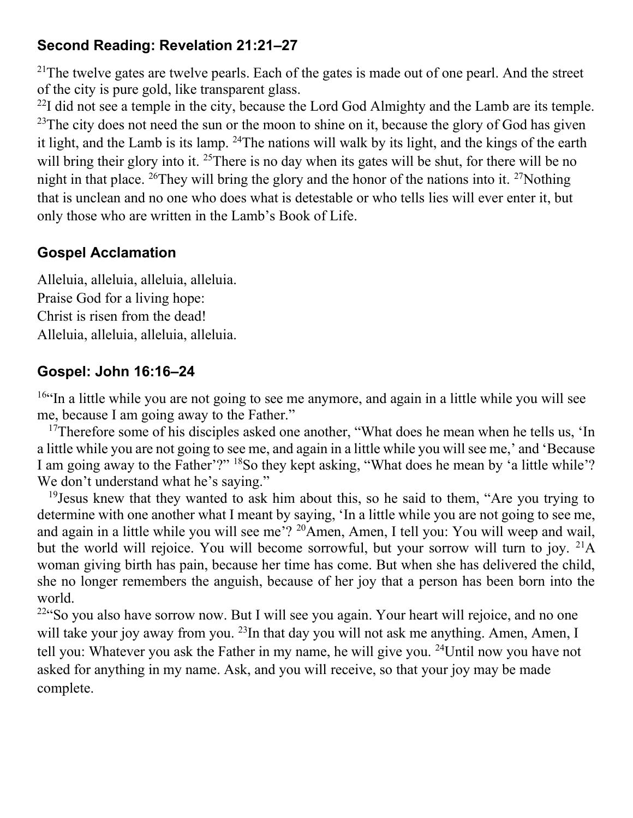### **Second Reading: Revelation 21:21–27**

<sup>21</sup>The twelve gates are twelve pearls. Each of the gates is made out of one pearl. And the street of the city is pure gold, like transparent glass.

 $^{22}$ I did not see a temple in the city, because the Lord God Almighty and the Lamb are its temple. <sup>23</sup>The city does not need the sun or the moon to shine on it, because the glory of God has given it light, and the Lamb is its lamp. <sup>24</sup>The nations will walk by its light, and the kings of the earth will bring their glory into it. <sup>25</sup>There is no day when its gates will be shut, for there will be no night in that place. <sup>26</sup>They will bring the glory and the honor of the nations into it. <sup>27</sup>Nothing that is unclean and no one who does what is detestable or who tells lies will ever enter it, but only those who are written in the Lamb's Book of Life.

# **Gospel Acclamation**

Alleluia, alleluia, alleluia, alleluia. Praise God for a living hope: Christ is risen from the dead! Alleluia, alleluia, alleluia, alleluia.

### **Gospel: John 16:16–24**

 $16$ "In a little while you are not going to see me anymore, and again in a little while you will see me, because I am going away to the Father."

<sup>17</sup>Therefore some of his disciples asked one another, "What does he mean when he tells us, 'In a little while you are not going to see me, and again in a little while you will see me,' and 'Because I am going away to the Father'?" <sup>18</sup>So they kept asking, "What does he mean by 'a little while'? We don't understand what he's saying."

<sup>19</sup> Jesus knew that they wanted to ask him about this, so he said to them, "Are you trying to determine with one another what I meant by saying, 'In a little while you are not going to see me, and again in a little while you will see me'? <sup>20</sup>Amen, Amen, I tell you: You will weep and wail, but the world will rejoice. You will become sorrowful, but your sorrow will turn to joy.  $^{21}A$ woman giving birth has pain, because her time has come. But when she has delivered the child, she no longer remembers the anguish, because of her joy that a person has been born into the world.

 $22$ "So you also have sorrow now. But I will see you again. Your heart will rejoice, and no one will take your joy away from you. <sup>23</sup>In that day you will not ask me anything. Amen, Amen, I tell you: Whatever you ask the Father in my name, he will give you. <sup>24</sup>Until now you have not asked for anything in my name. Ask, and you will receive, so that your joy may be made complete.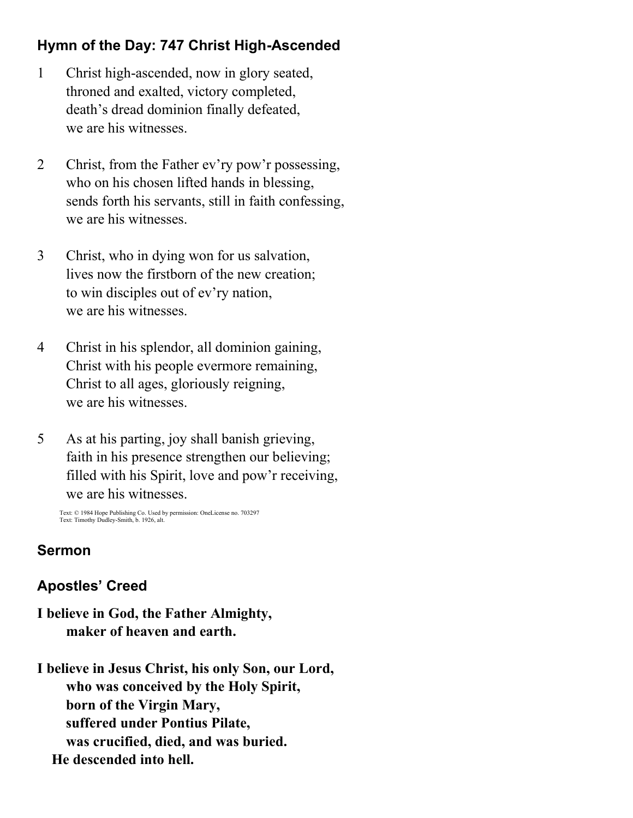# **Hymn of the Day: 747 Christ High-Ascended**

- 1 Christ high-ascended, now in glory seated, throned and exalted, victory completed, death's dread dominion finally defeated, we are his witnesses.
- 2 Christ, from the Father ev'ry pow'r possessing, who on his chosen lifted hands in blessing, sends forth his servants, still in faith confessing, we are his witnesses.
- 3 Christ, who in dying won for us salvation, lives now the firstborn of the new creation; to win disciples out of ev'ry nation, we are his witnesses.
- 4 Christ in his splendor, all dominion gaining, Christ with his people evermore remaining, Christ to all ages, gloriously reigning, we are his witnesses.
- 5 As at his parting, joy shall banish grieving, faith in his presence strengthen our believing; filled with his Spirit, love and pow'r receiving, we are his witnesses.

Text: © 1984 Hope Publishing Co. Used by permission: OneLicense no. 703297 Text: Timothy Dudley-Smith, b. 1926, alt.

### **Sermon**

# **Apostles' Creed**

**I believe in God, the Father Almighty, maker of heaven and earth.**

**I believe in Jesus Christ, his only Son, our Lord, who was conceived by the Holy Spirit, born of the Virgin Mary, suffered under Pontius Pilate, was crucified, died, and was buried. He descended into hell.**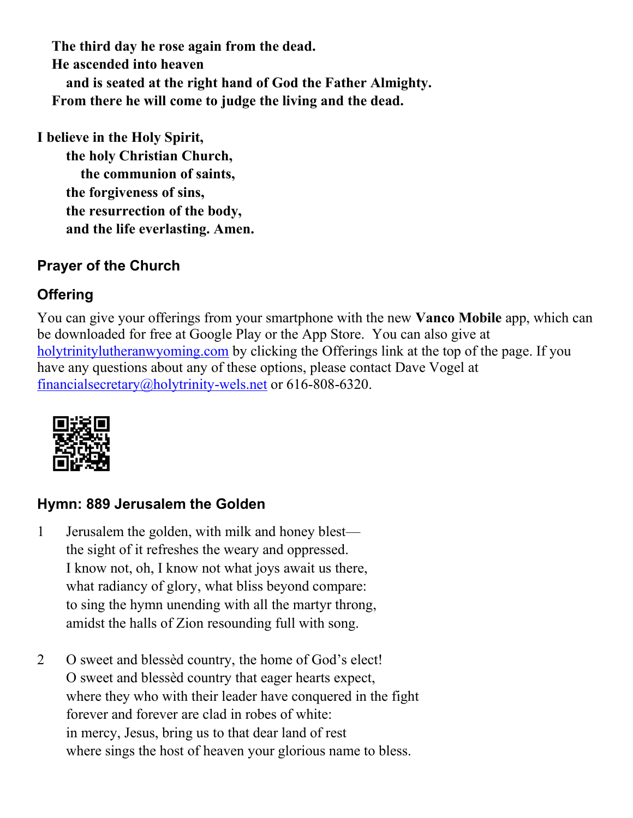**The third day he rose again from the dead. He ascended into heaven and is seated at the right hand of God the Father Almighty. From there he will come to judge the living and the dead.**

**I believe in the Holy Spirit,**

 **the holy Christian Church, the communion of saints, the forgiveness of sins, the resurrection of the body, and the life everlasting. Amen.**

# **Prayer of the Church**

# **Offering**

You can give your offerings from your smartphone with the new **Vanco Mobile** app, which can be downloaded for free at Google Play or the App Store. You can also give at [holytrinitylutheranwyoming.com](http://holytrinitylutheranwyoming.com/) by clicking the Offerings link at the top of the page. If you have any questions about any of these options, please contact Dave Vogel at [financialsecretary@holytrinity-wels.net](mailto:financialsecretary@holytrinity-wels.net) or 616-808-6320.



# **Hymn: 889 Jerusalem the Golden**

- 1 Jerusalem the golden, with milk and honey blest the sight of it refreshes the weary and oppressed. I know not, oh, I know not what joys await us there, what radiancy of glory, what bliss beyond compare: to sing the hymn unending with all the martyr throng, amidst the halls of Zion resounding full with song.
- 2 O sweet and blessèd country, the home of God's elect! O sweet and blessèd country that eager hearts expect, where they who with their leader have conquered in the fight forever and forever are clad in robes of white: in mercy, Jesus, bring us to that dear land of rest where sings the host of heaven your glorious name to bless.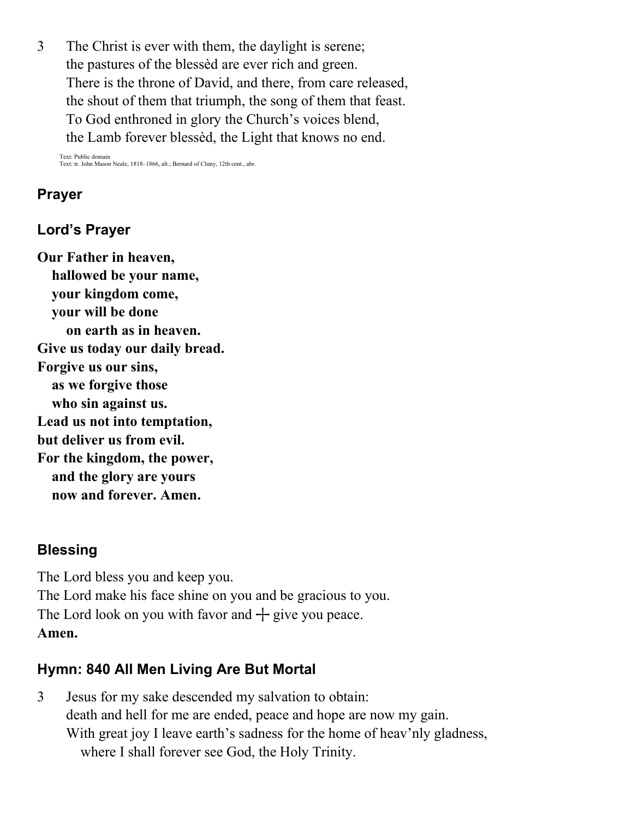3 The Christ is ever with them, the daylight is serene; the pastures of the blessèd are ever rich and green. There is the throne of David, and there, from care released, the shout of them that triumph, the song of them that feast. To God enthroned in glory the Church's voices blend, the Lamb forever blessèd, the Light that knows no end.

Text: Public domain Text: tr. John Mason Neale, 1818–1866, alt.; Bernard of Cluny, 12th cent., abr.

#### **Prayer**

### **Lord's Prayer**

**Our Father in heaven, hallowed be your name, your kingdom come, your will be done on earth as in heaven. Give us today our daily bread. Forgive us our sins, as we forgive those who sin against us. Lead us not into temptation, but deliver us from evil. For the kingdom, the power, and the glory are yours now and forever. Amen.**

#### **Blessing**

The Lord bless you and keep you. The Lord make his face shine on you and be gracious to you. The Lord look on you with favor and  $+$  give you peace. **Amen.**

#### **Hymn: 840 All Men Living Are But Mortal**

3 Jesus for my sake descended my salvation to obtain: death and hell for me are ended, peace and hope are now my gain. With great joy I leave earth's sadness for the home of heav'nly gladness, where I shall forever see God, the Holy Trinity.